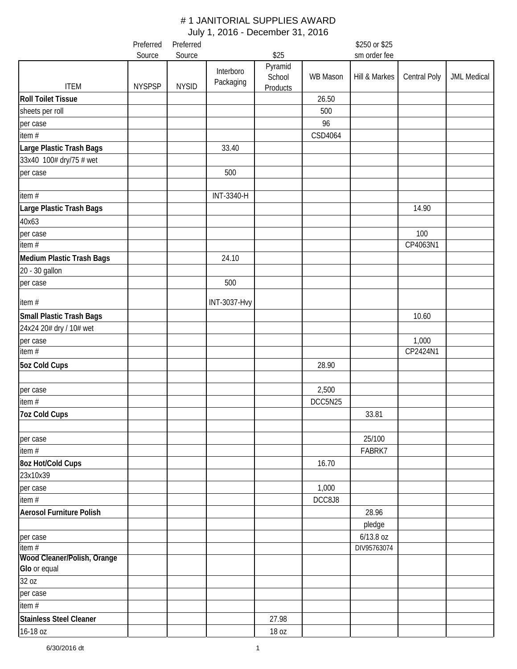|                                      | Preferred     | Preferred    |                        |                               |          | \$250 or \$25 |              |                    |
|--------------------------------------|---------------|--------------|------------------------|-------------------------------|----------|---------------|--------------|--------------------|
|                                      | Source        | Source       |                        | \$25                          |          | sm order fee  |              |                    |
| <b>ITEM</b>                          | <b>NYSPSP</b> | <b>NYSID</b> | Interboro<br>Packaging | Pyramid<br>School<br>Products | WB Mason | Hill & Markes | Central Poly | <b>JML Medical</b> |
| <b>Roll Toilet Tissue</b>            |               |              |                        |                               | 26.50    |               |              |                    |
| sheets per roll                      |               |              |                        |                               | 500      |               |              |                    |
| per case                             |               |              |                        |                               | 96       |               |              |                    |
| item#                                |               |              |                        |                               | CSD4064  |               |              |                    |
| Large Plastic Trash Bags             |               |              | 33.40                  |                               |          |               |              |                    |
| 33x40 100# dry/75 # wet              |               |              |                        |                               |          |               |              |                    |
| per case                             |               |              | 500                    |                               |          |               |              |                    |
| item#                                |               |              | INT-3340-H             |                               |          |               |              |                    |
| Large Plastic Trash Bags             |               |              |                        |                               |          |               | 14.90        |                    |
| 40x63                                |               |              |                        |                               |          |               |              |                    |
| per case                             |               |              |                        |                               |          |               | 100          |                    |
| item#                                |               |              |                        |                               |          |               | CP4063N1     |                    |
| Medium Plastic Trash Bags            |               |              | 24.10                  |                               |          |               |              |                    |
| 20 - 30 gallon                       |               |              |                        |                               |          |               |              |                    |
| per case                             |               |              | 500                    |                               |          |               |              |                    |
| item #                               |               |              | <b>INT-3037-Hvy</b>    |                               |          |               |              |                    |
| <b>Small Plastic Trash Bags</b>      |               |              |                        |                               |          |               | 10.60        |                    |
| 24x24 20# dry / 10# wet              |               |              |                        |                               |          |               |              |                    |
| per case                             |               |              |                        |                               |          |               | 1,000        |                    |
| item #                               |               |              |                        |                               |          |               | CP2424N1     |                    |
| <b>5oz Cold Cups</b>                 |               |              |                        |                               | 28.90    |               |              |                    |
| per case                             |               |              |                        |                               | 2,500    |               |              |                    |
| item $#$                             |               |              |                        |                               | DCC5N25  |               |              |                    |
| <b>7oz Cold Cups</b>                 |               |              |                        |                               |          | 33.81         |              |                    |
| per case                             |               |              |                        |                               |          | 25/100        |              |                    |
| item#                                |               |              |                        |                               |          | FABRK7        |              |                    |
| 8oz Hot/Cold Cups                    |               |              |                        |                               | 16.70    |               |              |                    |
| 23x10x39                             |               |              |                        |                               |          |               |              |                    |
| per case                             |               |              |                        |                               | 1,000    |               |              |                    |
| item #                               |               |              |                        |                               | DCC8J8   |               |              |                    |
| <b>Aerosol Furniture Polish</b>      |               |              |                        |                               |          | 28.96         |              |                    |
|                                      |               |              |                        |                               |          | pledge        |              |                    |
| per case                             |               |              |                        |                               |          | $6/13.8$ oz   |              |                    |
| item#<br>Wood Cleaner/Polish, Orange |               |              |                        |                               |          | DIV95763074   |              |                    |
| Glo or equal                         |               |              |                        |                               |          |               |              |                    |
| 32 oz                                |               |              |                        |                               |          |               |              |                    |
| per case                             |               |              |                        |                               |          |               |              |                    |
| item #                               |               |              |                        |                               |          |               |              |                    |
| Stainless Steel Cleaner              |               |              |                        | 27.98                         |          |               |              |                    |
|                                      |               |              |                        | 18 oz                         |          |               |              |                    |
| 16-18 oz                             |               |              |                        |                               |          |               |              |                    |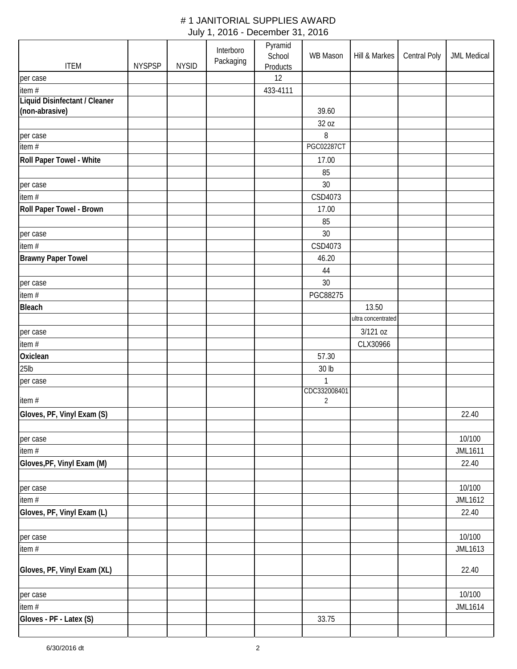| <b>ITEM</b>                   | <b>NYSPSP</b> | <b>NYSID</b> | Interboro<br>Packaging | Pyramid<br>School | WB Mason          | Hill & Markes      | Central Poly | <b>JML Medical</b> |
|-------------------------------|---------------|--------------|------------------------|-------------------|-------------------|--------------------|--------------|--------------------|
|                               |               |              |                        | Products<br>12    |                   |                    |              |                    |
| per case<br>item #            |               |              |                        | 433-4111          |                   |                    |              |                    |
| Liquid Disinfectant / Cleaner |               |              |                        |                   |                   |                    |              |                    |
| (non-abrasive)                |               |              |                        |                   | 39.60             |                    |              |                    |
|                               |               |              |                        |                   | 32 oz             |                    |              |                    |
| per case                      |               |              |                        |                   | 8                 |                    |              |                    |
| item#                         |               |              |                        |                   | <b>PGC02287CT</b> |                    |              |                    |
| Roll Paper Towel - White      |               |              |                        |                   | 17.00             |                    |              |                    |
|                               |               |              |                        |                   | 85                |                    |              |                    |
| per case                      |               |              |                        |                   | 30                |                    |              |                    |
| item #                        |               |              |                        |                   | CSD4073           |                    |              |                    |
| Roll Paper Towel - Brown      |               |              |                        |                   | 17.00             |                    |              |                    |
|                               |               |              |                        |                   | 85                |                    |              |                    |
|                               |               |              |                        |                   |                   |                    |              |                    |
| per case                      |               |              |                        |                   | 30                |                    |              |                    |
| item#                         |               |              |                        |                   | CSD4073           |                    |              |                    |
| <b>Brawny Paper Towel</b>     |               |              |                        |                   | 46.20             |                    |              |                    |
|                               |               |              |                        |                   | 44                |                    |              |                    |
| per case                      |               |              |                        |                   | 30                |                    |              |                    |
| item #                        |               |              |                        |                   | PGC88275          |                    |              |                    |
| <b>Bleach</b>                 |               |              |                        |                   |                   | 13.50              |              |                    |
|                               |               |              |                        |                   |                   | ultra concentrated |              |                    |
| per case                      |               |              |                        |                   |                   | 3/121 oz           |              |                    |
| item#                         |               |              |                        |                   |                   | CLX30966           |              |                    |
| Oxiclean                      |               |              |                        |                   | 57.30             |                    |              |                    |
| $25$ lb                       |               |              |                        |                   | 30 lb             |                    |              |                    |
| per case                      |               |              |                        |                   | $\mathbf{1}$      |                    |              |                    |
|                               |               |              |                        |                   | CDC332008401      |                    |              |                    |
| item#                         |               |              |                        |                   | $\overline{2}$    |                    |              |                    |
| Gloves, PF, Vinyl Exam (S)    |               |              |                        |                   |                   |                    |              | 22.40              |
|                               |               |              |                        |                   |                   |                    |              |                    |
| per case                      |               |              |                        |                   |                   |                    |              | 10/100             |
| item #                        |               |              |                        |                   |                   |                    |              | <b>JML1611</b>     |
| Gloves, PF, Vinyl Exam (M)    |               |              |                        |                   |                   |                    |              | 22.40              |
|                               |               |              |                        |                   |                   |                    |              |                    |
| per case                      |               |              |                        |                   |                   |                    |              | 10/100             |
| item #                        |               |              |                        |                   |                   |                    |              | JML1612            |
| Gloves, PF, Vinyl Exam (L)    |               |              |                        |                   |                   |                    |              | 22.40              |
|                               |               |              |                        |                   |                   |                    |              |                    |
| per case                      |               |              |                        |                   |                   |                    |              | 10/100             |
| item #                        |               |              |                        |                   |                   |                    |              | JML1613            |
| Gloves, PF, Vinyl Exam (XL)   |               |              |                        |                   |                   |                    |              | 22.40              |
|                               |               |              |                        |                   |                   |                    |              |                    |
| per case                      |               |              |                        |                   |                   |                    |              | 10/100             |
| item #                        |               |              |                        |                   |                   |                    |              | JML1614            |
| Gloves - PF - Latex (S)       |               |              |                        |                   | 33.75             |                    |              |                    |
|                               |               |              |                        |                   |                   |                    |              |                    |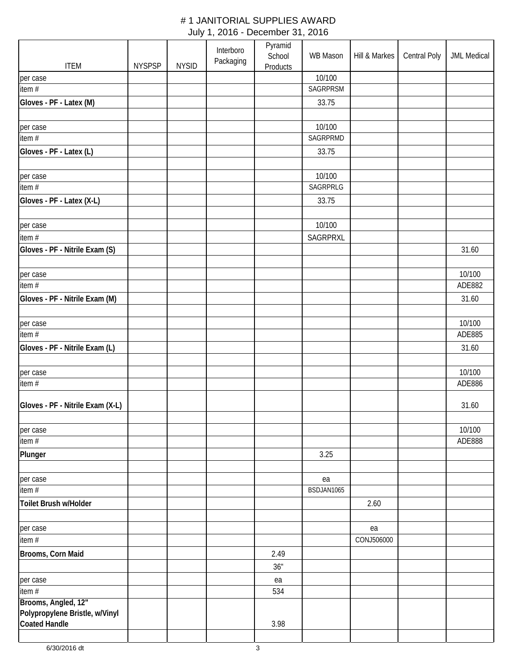| <b>ITEM</b>                                            | <b>NYSPSP</b> | <b>NYSID</b> | Interboro<br>Packaging | Pyramid<br>School<br><b>Products</b> | WB Mason   | Hill & Markes | <b>Central Poly</b> | <b>JML Medical</b> |
|--------------------------------------------------------|---------------|--------------|------------------------|--------------------------------------|------------|---------------|---------------------|--------------------|
| per case                                               |               |              |                        |                                      | 10/100     |               |                     |                    |
| item #                                                 |               |              |                        |                                      | SAGRPRSM   |               |                     |                    |
| Gloves - PF - Latex (M)                                |               |              |                        |                                      | 33.75      |               |                     |                    |
| per case                                               |               |              |                        |                                      | 10/100     |               |                     |                    |
| item $#$                                               |               |              |                        |                                      | SAGRPRMD   |               |                     |                    |
| Gloves - PF - Latex (L)                                |               |              |                        |                                      | 33.75      |               |                     |                    |
|                                                        |               |              |                        |                                      | 10/100     |               |                     |                    |
| per case<br>item#                                      |               |              |                        |                                      | SAGRPRLG   |               |                     |                    |
| Gloves - PF - Latex (X-L)                              |               |              |                        |                                      | 33.75      |               |                     |                    |
|                                                        |               |              |                        |                                      |            |               |                     |                    |
| per case                                               |               |              |                        |                                      | 10/100     |               |                     |                    |
| item#                                                  |               |              |                        |                                      | SAGRPRXL   |               |                     |                    |
| Gloves - PF - Nitrile Exam (S)                         |               |              |                        |                                      |            |               |                     | 31.60              |
| per case                                               |               |              |                        |                                      |            |               |                     | 10/100             |
| item $#$                                               |               |              |                        |                                      |            |               |                     | ADE882             |
| Gloves - PF - Nitrile Exam (M)                         |               |              |                        |                                      |            |               |                     | 31.60              |
| per case                                               |               |              |                        |                                      |            |               |                     | 10/100             |
| item#                                                  |               |              |                        |                                      |            |               |                     | ADE885             |
| Gloves - PF - Nitrile Exam (L)                         |               |              |                        |                                      |            |               |                     | 31.60              |
|                                                        |               |              |                        |                                      |            |               |                     |                    |
| per case                                               |               |              |                        |                                      |            |               |                     | 10/100             |
| item #                                                 |               |              |                        |                                      |            |               |                     | ADE886             |
| Gloves - PF - Nitrile Exam (X-L)                       |               |              |                        |                                      |            |               |                     | 31.60              |
| per case                                               |               |              |                        |                                      |            |               |                     | 10/100             |
| item #                                                 |               |              |                        |                                      |            |               |                     | ADE888             |
| Plunger                                                |               |              |                        |                                      | 3.25       |               |                     |                    |
| per case                                               |               |              |                        |                                      | ea         |               |                     |                    |
| $\overline{\mathsf{item}}$ #                           |               |              |                        |                                      | BSDJAN1065 |               |                     |                    |
| Toilet Brush w/Holder                                  |               |              |                        |                                      |            | 2.60          |                     |                    |
|                                                        |               |              |                        |                                      |            |               |                     |                    |
| per case                                               |               |              |                        |                                      |            | ea            |                     |                    |
| item #                                                 |               |              |                        |                                      |            | CONJ506000    |                     |                    |
| Brooms, Corn Maid                                      |               |              |                        | 2.49                                 |            |               |                     |                    |
|                                                        |               |              |                        | 36"                                  |            |               |                     |                    |
| per case                                               |               |              |                        | ea                                   |            |               |                     |                    |
| item #                                                 |               |              |                        | 534                                  |            |               |                     |                    |
| Brooms, Angled, 12"                                    |               |              |                        |                                      |            |               |                     |                    |
| Polypropylene Bristle, w/Vinyl<br><b>Coated Handle</b> |               |              |                        | 3.98                                 |            |               |                     |                    |
|                                                        |               |              |                        |                                      |            |               |                     |                    |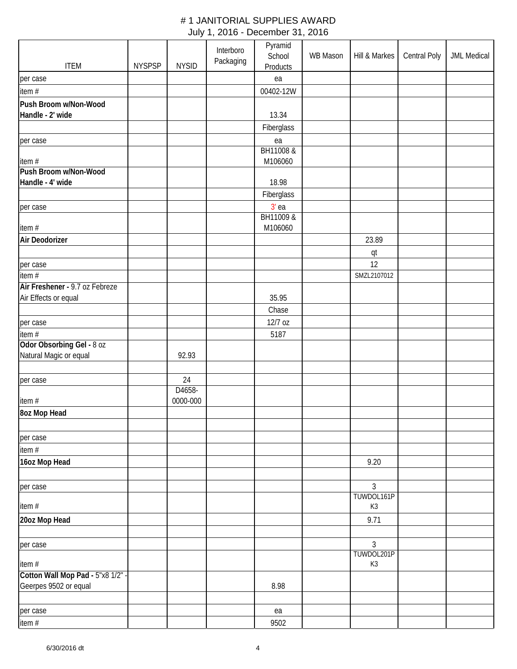|                                                            |               |                    | Interboro | Pyramid<br>School    | WB Mason | Hill & Markes | Central Poly | <b>JML Medical</b> |
|------------------------------------------------------------|---------------|--------------------|-----------|----------------------|----------|---------------|--------------|--------------------|
| <b>ITEM</b>                                                | <b>NYSPSP</b> | <b>NYSID</b>       | Packaging | Products             |          |               |              |                    |
| per case                                                   |               |                    |           | ea                   |          |               |              |                    |
| item#                                                      |               |                    |           | 00402-12W            |          |               |              |                    |
| Push Broom w/Non-Wood                                      |               |                    |           |                      |          |               |              |                    |
| Handle - 2' wide                                           |               |                    |           | 13.34                |          |               |              |                    |
|                                                            |               |                    |           | Fiberglass           |          |               |              |                    |
| per case                                                   |               |                    |           | ea                   |          |               |              |                    |
|                                                            |               |                    |           | BH11008 &            |          |               |              |                    |
| item#                                                      |               |                    |           | M106060              |          |               |              |                    |
| Push Broom w/Non-Wood                                      |               |                    |           |                      |          |               |              |                    |
| Handle - 4' wide                                           |               |                    |           | 18.98                |          |               |              |                    |
|                                                            |               |                    |           | Fiberglass           |          |               |              |                    |
| per case                                                   |               |                    |           | $3'$ ea<br>BH11009 & |          |               |              |                    |
| item#                                                      |               |                    |           | M106060              |          |               |              |                    |
| Air Deodorizer                                             |               |                    |           |                      |          | 23.89         |              |                    |
|                                                            |               |                    |           |                      |          |               |              |                    |
| per case                                                   |               |                    |           |                      |          | qt<br>12      |              |                    |
| item#                                                      |               |                    |           |                      |          | SMZL2107012   |              |                    |
| Air Freshener - 9.7 oz Febreze                             |               |                    |           |                      |          |               |              |                    |
| Air Effects or equal                                       |               |                    |           | 35.95                |          |               |              |                    |
|                                                            |               |                    |           | Chase                |          |               |              |                    |
| per case                                                   |               |                    |           | 12/7 oz              |          |               |              |                    |
| item #                                                     |               |                    |           | 5187                 |          |               |              |                    |
| Odor Obsorbing Gel - 8 oz                                  |               |                    |           |                      |          |               |              |                    |
| Natural Magic or equal                                     |               | 92.93              |           |                      |          |               |              |                    |
|                                                            |               |                    |           |                      |          |               |              |                    |
| per case                                                   |               | 24                 |           |                      |          |               |              |                    |
|                                                            |               | D4658-<br>0000-000 |           |                      |          |               |              |                    |
| item#                                                      |               |                    |           |                      |          |               |              |                    |
| 8oz Mop Head                                               |               |                    |           |                      |          |               |              |                    |
|                                                            |               |                    |           |                      |          |               |              |                    |
| per case<br>item #                                         |               |                    |           |                      |          |               |              |                    |
| 16oz Mop Head                                              |               |                    |           |                      |          | 9.20          |              |                    |
|                                                            |               |                    |           |                      |          |               |              |                    |
| per case                                                   |               |                    |           |                      |          | 3             |              |                    |
|                                                            |               |                    |           |                      |          | TUWDOL161P    |              |                    |
| item#                                                      |               |                    |           |                      |          | K3            |              |                    |
| 20oz Mop Head                                              |               |                    |           |                      |          | 9.71          |              |                    |
|                                                            |               |                    |           |                      |          |               |              |                    |
| per case                                                   |               |                    |           |                      |          | 3             |              |                    |
|                                                            |               |                    |           |                      |          | TUWDOL201P    |              |                    |
| item#                                                      |               |                    |           |                      |          | K3            |              |                    |
| Cotton Wall Mop Pad - 5"x8 1/2" -<br>Geerpes 9502 or equal |               |                    |           | 8.98                 |          |               |              |                    |
|                                                            |               |                    |           |                      |          |               |              |                    |
| per case                                                   |               |                    |           | ea                   |          |               |              |                    |
| item #                                                     |               |                    |           | 9502                 |          |               |              |                    |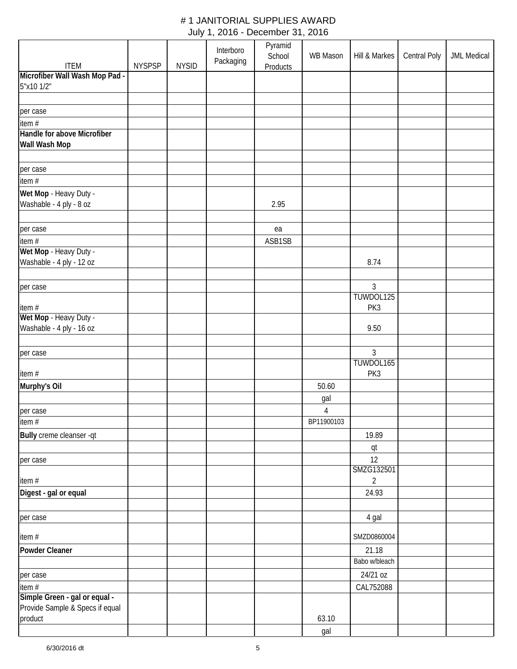| <b>ITEM</b>                           | <b>NYSPSP</b> | <b>NYSID</b> | Interboro<br>Packaging | Pyramid<br>School<br><b>Products</b> | WB Mason       | Hill & Markes          | <b>Central Poly</b> | <b>JML Medical</b> |
|---------------------------------------|---------------|--------------|------------------------|--------------------------------------|----------------|------------------------|---------------------|--------------------|
| Microfiber Wall Wash Mop Pad -        |               |              |                        |                                      |                |                        |                     |                    |
| 5"x10 1/2"                            |               |              |                        |                                      |                |                        |                     |                    |
|                                       |               |              |                        |                                      |                |                        |                     |                    |
| per case                              |               |              |                        |                                      |                |                        |                     |                    |
|                                       |               |              |                        |                                      |                |                        |                     |                    |
| item #<br>Handle for above Microfiber |               |              |                        |                                      |                |                        |                     |                    |
| Wall Wash Mop                         |               |              |                        |                                      |                |                        |                     |                    |
|                                       |               |              |                        |                                      |                |                        |                     |                    |
|                                       |               |              |                        |                                      |                |                        |                     |                    |
| per case                              |               |              |                        |                                      |                |                        |                     |                    |
| item#                                 |               |              |                        |                                      |                |                        |                     |                    |
| Wet Mop - Heavy Duty -                |               |              |                        |                                      |                |                        |                     |                    |
| Washable - 4 ply - 8 oz               |               |              |                        | 2.95                                 |                |                        |                     |                    |
| per case                              |               |              |                        | ea                                   |                |                        |                     |                    |
| item#                                 |               |              |                        | ASB1SB                               |                |                        |                     |                    |
| Wet Mop - Heavy Duty -                |               |              |                        |                                      |                |                        |                     |                    |
| Washable - 4 ply - 12 oz              |               |              |                        |                                      |                | 8.74                   |                     |                    |
|                                       |               |              |                        |                                      |                |                        |                     |                    |
| per case                              |               |              |                        |                                      |                | $\mathfrak{Z}$         |                     |                    |
|                                       |               |              |                        |                                      |                | TUWDOL125              |                     |                    |
| item#                                 |               |              |                        |                                      |                | PK3                    |                     |                    |
| Wet Mop - Heavy Duty -                |               |              |                        |                                      |                |                        |                     |                    |
| Washable - 4 ply - 16 oz              |               |              |                        |                                      |                | 9.50                   |                     |                    |
| per case                              |               |              |                        |                                      |                | $\mathfrak{Z}$         |                     |                    |
| item#                                 |               |              |                        |                                      |                | TUWDOL165<br>PK3       |                     |                    |
|                                       |               |              |                        |                                      |                |                        |                     |                    |
| Murphy's Oil                          |               |              |                        |                                      | 50.60          |                        |                     |                    |
|                                       |               |              |                        |                                      | gal            |                        |                     |                    |
| per case                              |               |              |                        |                                      | $\overline{4}$ |                        |                     |                    |
| item $#$                              |               |              |                        |                                      | BP11900103     |                        |                     |                    |
| Bully creme cleanser -qt              |               |              |                        |                                      |                | 19.89                  |                     |                    |
| per case                              |               |              |                        |                                      |                | qt<br>12<br>SMZG132501 |                     |                    |
| item#                                 |               |              |                        |                                      |                | $\overline{2}$         |                     |                    |
| Digest - gal or equal                 |               |              |                        |                                      |                | 24.93                  |                     |                    |
|                                       |               |              |                        |                                      |                |                        |                     |                    |
| per case                              |               |              |                        |                                      |                | 4 gal                  |                     |                    |
| item #                                |               |              |                        |                                      |                | SMZD0860004            |                     |                    |
| Powder Cleaner                        |               |              |                        |                                      |                | 21.18                  |                     |                    |
|                                       |               |              |                        |                                      |                | Babo w/bleach          |                     |                    |
| per case                              |               |              |                        |                                      |                | 24/21 oz               |                     |                    |
| item#                                 |               |              |                        |                                      |                | CAL752088              |                     |                    |
| Simple Green - gal or equal -         |               |              |                        |                                      |                |                        |                     |                    |
| Provide Sample & Specs if equal       |               |              |                        |                                      |                |                        |                     |                    |
| product                               |               |              |                        |                                      | 63.10          |                        |                     |                    |
|                                       |               |              |                        |                                      | gal            |                        |                     |                    |
|                                       |               |              |                        |                                      |                |                        |                     |                    |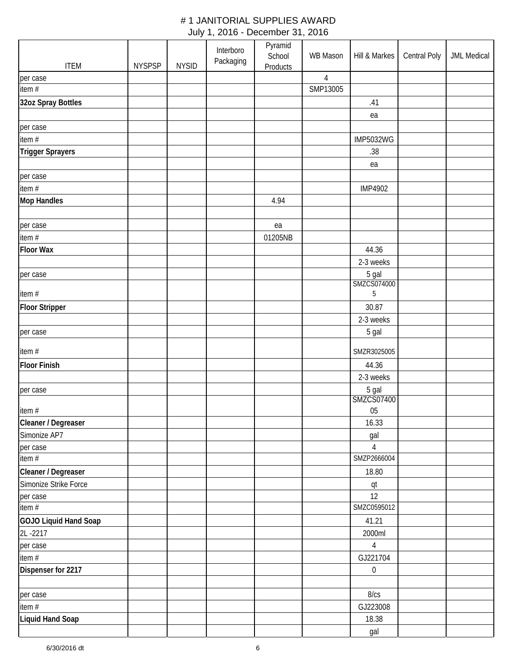| <b>ITEM</b>             | <b>NYSPSP</b> | <b>NYSID</b> | Interboro<br>Packaging | Pyramid<br>School<br><b>Products</b> | WB Mason       | Hill & Markes    | Central Poly | <b>JML Medical</b> |
|-------------------------|---------------|--------------|------------------------|--------------------------------------|----------------|------------------|--------------|--------------------|
| per case                |               |              |                        |                                      | $\overline{4}$ |                  |              |                    |
| $\frac{1}{1}$ item #    |               |              |                        |                                      | SMP13005       |                  |              |                    |
| 32oz Spray Bottles      |               |              |                        |                                      |                | .41              |              |                    |
|                         |               |              |                        |                                      |                | ea               |              |                    |
| per case                |               |              |                        |                                      |                |                  |              |                    |
| item #                  |               |              |                        |                                      |                | <b>IMP5032WG</b> |              |                    |
| <b>Trigger Sprayers</b> |               |              |                        |                                      |                | .38              |              |                    |
|                         |               |              |                        |                                      |                |                  |              |                    |
|                         |               |              |                        |                                      |                | ea               |              |                    |
| per case<br>item #      |               |              |                        |                                      |                | <b>IMP4902</b>   |              |                    |
| <b>Mop Handles</b>      |               |              |                        | 4.94                                 |                |                  |              |                    |
|                         |               |              |                        |                                      |                |                  |              |                    |
| per case                |               |              |                        | ea                                   |                |                  |              |                    |
| item #                  |               |              |                        | 01205NB                              |                |                  |              |                    |
| <b>Floor Wax</b>        |               |              |                        |                                      |                | 44.36            |              |                    |
|                         |               |              |                        |                                      |                | 2-3 weeks        |              |                    |
| per case                |               |              |                        |                                      |                | 5 gal            |              |                    |
|                         |               |              |                        |                                      |                | SMZCS074000      |              |                    |
| item #                  |               |              |                        |                                      |                | $\sqrt{5}$       |              |                    |
| <b>Floor Stripper</b>   |               |              |                        |                                      |                | 30.87            |              |                    |
|                         |               |              |                        |                                      |                | 2-3 weeks        |              |                    |
| per case                |               |              |                        |                                      |                | 5 gal            |              |                    |
| item #                  |               |              |                        |                                      |                | SMZR3025005      |              |                    |
| <b>Floor Finish</b>     |               |              |                        |                                      |                | 44.36            |              |                    |
|                         |               |              |                        |                                      |                | 2-3 weeks        |              |                    |
| per case                |               |              |                        |                                      |                | 5 gal            |              |                    |
|                         |               |              |                        |                                      |                | SMZCS07400       |              |                    |
| item#                   |               |              |                        |                                      |                | 05               |              |                    |
| Cleaner / Degreaser     |               |              |                        |                                      |                | 16.33            |              |                    |
| Simonize AP7            |               |              |                        |                                      |                | gal              |              |                    |
| per case                |               |              |                        |                                      |                | $\overline{4}$   |              |                    |
| item $#$                |               |              |                        |                                      |                | SMZP2666004      |              |                    |
| Cleaner / Degreaser     |               |              |                        |                                      |                | 18.80            |              |                    |
| Simonize Strike Force   |               |              |                        |                                      |                | qt               |              |                    |
| per case                |               |              |                        |                                      |                | 12               |              |                    |
| item $#$                |               |              |                        |                                      |                | SMZC0595012      |              |                    |
| GOJO Liquid Hand Soap   |               |              |                        |                                      |                | 41.21            |              |                    |
| 2L-2217                 |               |              |                        |                                      |                | 2000ml           |              |                    |
| per case                |               |              |                        |                                      |                | $\overline{4}$   |              |                    |
| item #                  |               |              |                        |                                      |                | GJ221704         |              |                    |
| Dispenser for 2217      |               |              |                        |                                      |                | $\boldsymbol{0}$ |              |                    |
|                         |               |              |                        |                                      |                |                  |              |                    |
| per case                |               |              |                        |                                      |                | 8/cs             |              |                    |
| item #                  |               |              |                        |                                      |                | GJ223008         |              |                    |
| <b>Liquid Hand Soap</b> |               |              |                        |                                      |                | 18.38            |              |                    |
|                         |               |              |                        |                                      |                | gal              |              |                    |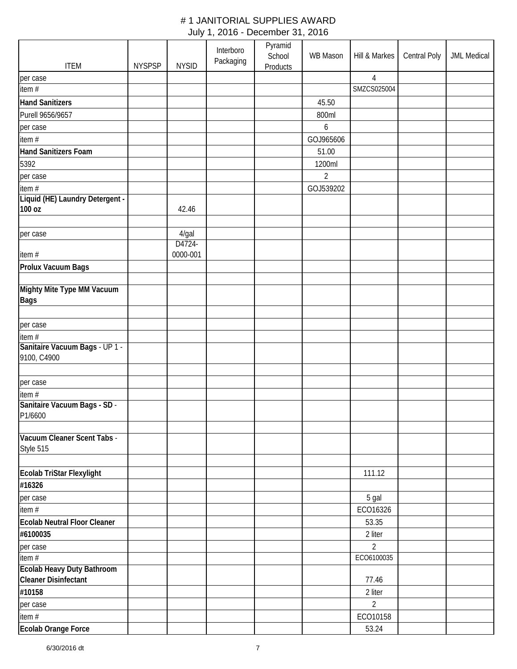|                                                                  |               |                    | Interboro | Pyramid<br>School | <b>WB Mason</b>  | Hill & Markes  | Central Poly | <b>JML Medical</b> |
|------------------------------------------------------------------|---------------|--------------------|-----------|-------------------|------------------|----------------|--------------|--------------------|
| <b>ITEM</b>                                                      | <b>NYSPSP</b> | <b>NYSID</b>       | Packaging | <b>Products</b>   |                  |                |              |                    |
| per case                                                         |               |                    |           |                   |                  | 4              |              |                    |
| item $#$                                                         |               |                    |           |                   |                  | SMZCS025004    |              |                    |
| <b>Hand Sanitizers</b>                                           |               |                    |           |                   | 45.50            |                |              |                    |
| Purell 9656/9657                                                 |               |                    |           |                   | 800ml            |                |              |                    |
| per case                                                         |               |                    |           |                   | $\boldsymbol{6}$ |                |              |                    |
| item #                                                           |               |                    |           |                   | GOJ965606        |                |              |                    |
| <b>Hand Sanitizers Foam</b>                                      |               |                    |           |                   | 51.00            |                |              |                    |
| 5392                                                             |               |                    |           |                   | 1200ml           |                |              |                    |
| per case                                                         |               |                    |           |                   | $\overline{2}$   |                |              |                    |
| item#                                                            |               |                    |           |                   | GOJ539202        |                |              |                    |
| Liquid (HE) Laundry Detergent -<br>100 oz                        |               | 42.46              |           |                   |                  |                |              |                    |
|                                                                  |               |                    |           |                   |                  |                |              |                    |
| per case                                                         |               | 4/gal              |           |                   |                  |                |              |                    |
| item#                                                            |               | D4724-<br>0000-001 |           |                   |                  |                |              |                    |
| Prolux Vacuum Bags                                               |               |                    |           |                   |                  |                |              |                    |
|                                                                  |               |                    |           |                   |                  |                |              |                    |
| Mighty Mite Type MM Vacuum<br><b>Bags</b>                        |               |                    |           |                   |                  |                |              |                    |
|                                                                  |               |                    |           |                   |                  |                |              |                    |
| per case                                                         |               |                    |           |                   |                  |                |              |                    |
| item #                                                           |               |                    |           |                   |                  |                |              |                    |
| Sanitaire Vacuum Bags - UP 1 -<br>9100, C4900                    |               |                    |           |                   |                  |                |              |                    |
| per case                                                         |               |                    |           |                   |                  |                |              |                    |
| item $#$                                                         |               |                    |           |                   |                  |                |              |                    |
| Sanitaire Vacuum Bags - SD -<br>P1/6600                          |               |                    |           |                   |                  |                |              |                    |
|                                                                  |               |                    |           |                   |                  |                |              |                    |
| Vacuum Cleaner Scent Tabs -<br>Style 515                         |               |                    |           |                   |                  |                |              |                    |
|                                                                  |               |                    |           |                   |                  |                |              |                    |
| Ecolab TriStar Flexylight                                        |               |                    |           |                   |                  | 111.12         |              |                    |
| #16326                                                           |               |                    |           |                   |                  |                |              |                    |
| per case                                                         |               |                    |           |                   |                  | 5 gal          |              |                    |
| item #                                                           |               |                    |           |                   |                  | ECO16326       |              |                    |
| <b>Ecolab Neutral Floor Cleaner</b>                              |               |                    |           |                   |                  | 53.35          |              |                    |
| #6100035                                                         |               |                    |           |                   |                  | 2 liter        |              |                    |
| per case                                                         |               |                    |           |                   |                  | 2              |              |                    |
| item #                                                           |               |                    |           |                   |                  | ECO6100035     |              |                    |
| <b>Ecolab Heavy Duty Bathroom</b><br><b>Cleaner Disinfectant</b> |               |                    |           |                   |                  | 77.46          |              |                    |
| #10158                                                           |               |                    |           |                   |                  | 2 liter        |              |                    |
| per case                                                         |               |                    |           |                   |                  | $\overline{2}$ |              |                    |
| item #                                                           |               |                    |           |                   |                  | ECO10158       |              |                    |
| Ecolab Orange Force                                              |               |                    |           |                   |                  | 53.24          |              |                    |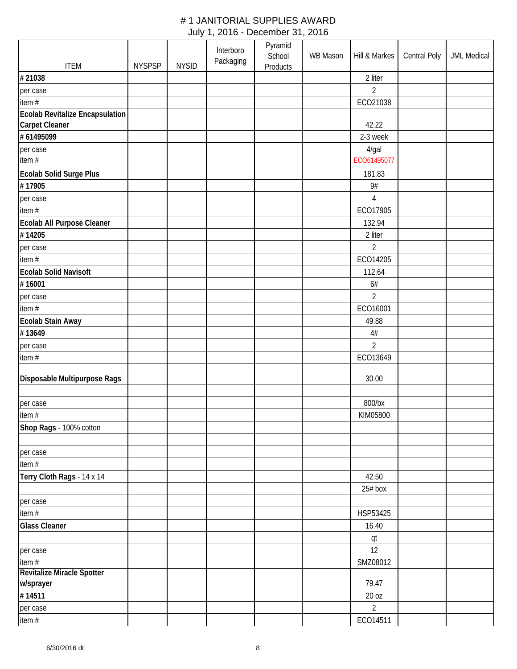|                                      |               |              | Interboro | Pyramid                   |                 |                |              |                    |
|--------------------------------------|---------------|--------------|-----------|---------------------------|-----------------|----------------|--------------|--------------------|
| <b>ITEM</b>                          | <b>NYSPSP</b> | <b>NYSID</b> | Packaging | School<br><b>Products</b> | <b>WB Mason</b> | Hill & Markes  | Central Poly | <b>JML Medical</b> |
| #21038                               |               |              |           |                           |                 | 2 liter        |              |                    |
| per case                             |               |              |           |                           |                 | $\overline{2}$ |              |                    |
| item #                               |               |              |           |                           |                 | ECO21038       |              |                    |
| Ecolab Revitalize Encapsulation      |               |              |           |                           |                 |                |              |                    |
| <b>Carpet Cleaner</b>                |               |              |           |                           |                 | 42.22          |              |                    |
| # 61495099                           |               |              |           |                           |                 | 2-3 week       |              |                    |
| per case                             |               |              |           |                           |                 | 4/gal          |              |                    |
| item#                                |               |              |           |                           |                 | ECO61495077    |              |                    |
| Ecolab Solid Surge Plus              |               |              |           |                           |                 | 181.83         |              |                    |
| #17905                               |               |              |           |                           |                 | 9#             |              |                    |
| per case                             |               |              |           |                           |                 | $\overline{4}$ |              |                    |
| item#                                |               |              |           |                           |                 | ECO17905       |              |                    |
|                                      |               |              |           |                           |                 |                |              |                    |
| Ecolab All Purpose Cleaner<br>#14205 |               |              |           |                           |                 | 132.94         |              |                    |
|                                      |               |              |           |                           |                 | 2 liter        |              |                    |
| per case                             |               |              |           |                           |                 | 2              |              |                    |
| item $#$                             |               |              |           |                           |                 | ECO14205       |              |                    |
| <b>Ecolab Solid Navisoft</b>         |               |              |           |                           |                 | 112.64         |              |                    |
| #16001                               |               |              |           |                           |                 | 6#             |              |                    |
| per case                             |               |              |           |                           |                 | $\overline{2}$ |              |                    |
| item#                                |               |              |           |                           |                 | ECO16001       |              |                    |
| Ecolab Stain Away                    |               |              |           |                           |                 | 49.88          |              |                    |
| #13649                               |               |              |           |                           |                 | $4\#$          |              |                    |
| per case                             |               |              |           |                           |                 | $\overline{2}$ |              |                    |
| item#                                |               |              |           |                           |                 | ECO13649       |              |                    |
| Disposable Multipurpose Rags         |               |              |           |                           |                 | 30.00          |              |                    |
|                                      |               |              |           |                           |                 |                |              |                    |
| per case                             |               |              |           |                           |                 | 800/bx         |              |                    |
| item#                                |               |              |           |                           |                 | KIM05800       |              |                    |
| Shop Rags - 100% cotton              |               |              |           |                           |                 |                |              |                    |
|                                      |               |              |           |                           |                 |                |              |                    |
| per case                             |               |              |           |                           |                 |                |              |                    |
| item#                                |               |              |           |                           |                 |                |              |                    |
| Terry Cloth Rags - 14 x 14           |               |              |           |                           |                 | 42.50          |              |                    |
|                                      |               |              |           |                           |                 | 25# box        |              |                    |
| per case                             |               |              |           |                           |                 |                |              |                    |
| item #                               |               |              |           |                           |                 | HSP53425       |              |                    |
| <b>Glass Cleaner</b>                 |               |              |           |                           |                 | 16.40          |              |                    |
|                                      |               |              |           |                           |                 |                |              |                    |
|                                      |               |              |           |                           |                 | qt<br>12       |              |                    |
| per case<br>item#                    |               |              |           |                           |                 | SMZ08012       |              |                    |
| Revitalize Miracle Spotter           |               |              |           |                           |                 |                |              |                    |
| w/sprayer                            |               |              |           |                           |                 | 79.47          |              |                    |
| #14511                               |               |              |           |                           |                 | 20 oz          |              |                    |
| per case                             |               |              |           |                           |                 | $\overline{2}$ |              |                    |
| item $#$                             |               |              |           |                           |                 | ECO14511       |              |                    |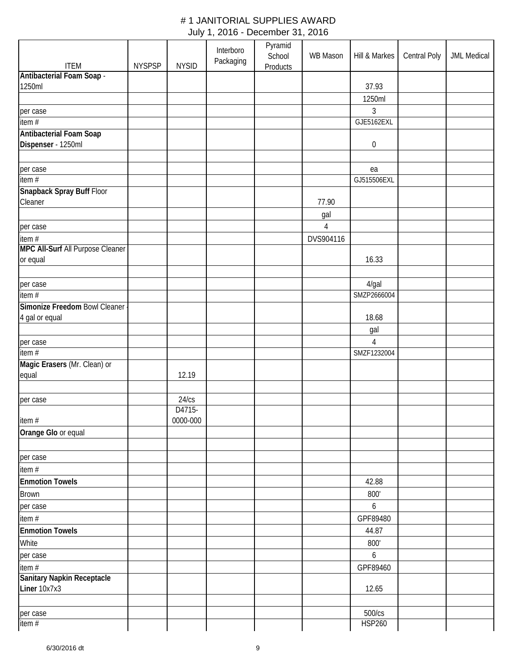| <b>ITEM</b>                       | <b>NYSPSP</b> | <b>NYSID</b> | Interboro<br>Packaging | Pyramid<br>School<br>Products | <b>WB Mason</b> | Hill & Markes    | Central Poly | <b>JML Medical</b> |
|-----------------------------------|---------------|--------------|------------------------|-------------------------------|-----------------|------------------|--------------|--------------------|
| Antibacterial Foam Soap -         |               |              |                        |                               |                 |                  |              |                    |
| 1250ml                            |               |              |                        |                               |                 | 37.93            |              |                    |
|                                   |               |              |                        |                               |                 | 1250ml           |              |                    |
| per case                          |               |              |                        |                               |                 | 3                |              |                    |
| item#                             |               |              |                        |                               |                 | GJE5162EXL       |              |                    |
| Antibacterial Foam Soap           |               |              |                        |                               |                 |                  |              |                    |
| Dispenser - 1250ml                |               |              |                        |                               |                 | $\boldsymbol{0}$ |              |                    |
|                                   |               |              |                        |                               |                 |                  |              |                    |
| per case                          |               |              |                        |                               |                 | ea               |              |                    |
| $\frac{1}{\text{item}}$           |               |              |                        |                               |                 | GJ515506EXL      |              |                    |
| Snapback Spray Buff Floor         |               |              |                        |                               |                 |                  |              |                    |
| Cleaner                           |               |              |                        |                               | 77.90           |                  |              |                    |
|                                   |               |              |                        |                               | gal             |                  |              |                    |
| per case                          |               |              |                        |                               | $\overline{4}$  |                  |              |                    |
| item #                            |               |              |                        |                               | DVS904116       |                  |              |                    |
| MPC All-Surf All Purpose Cleaner  |               |              |                        |                               |                 |                  |              |                    |
| or equal                          |               |              |                        |                               |                 | 16.33            |              |                    |
|                                   |               |              |                        |                               |                 |                  |              |                    |
| per case                          |               |              |                        |                               |                 | 4/gal            |              |                    |
| $\overline{\mathsf{item}}$ #      |               |              |                        |                               |                 | SMZP2666004      |              |                    |
| Simonize Freedom Bowl Cleaner     |               |              |                        |                               |                 |                  |              |                    |
| 4 gal or equal                    |               |              |                        |                               |                 | 18.68            |              |                    |
|                                   |               |              |                        |                               |                 | gal              |              |                    |
| per case                          |               |              |                        |                               |                 | 4                |              |                    |
| $\frac{1}{1}$ item #              |               |              |                        |                               |                 | SMZF1232004      |              |                    |
| Magic Erasers (Mr. Clean) or      |               |              |                        |                               |                 |                  |              |                    |
| equal                             |               | 12.19        |                        |                               |                 |                  |              |                    |
|                                   |               |              |                        |                               |                 |                  |              |                    |
| per case                          |               | 24/cs        |                        |                               |                 |                  |              |                    |
|                                   |               | D4715-       |                        |                               |                 |                  |              |                    |
| item #                            |               | 0000-000     |                        |                               |                 |                  |              |                    |
| Orange Glo or equal               |               |              |                        |                               |                 |                  |              |                    |
|                                   |               |              |                        |                               |                 |                  |              |                    |
| per case                          |               |              |                        |                               |                 |                  |              |                    |
| item #                            |               |              |                        |                               |                 |                  |              |                    |
| <b>Enmotion Towels</b>            |               |              |                        |                               |                 | 42.88            |              |                    |
| <b>Brown</b>                      |               |              |                        |                               |                 | 800'             |              |                    |
| per case                          |               |              |                        |                               |                 | 6                |              |                    |
| item #                            |               |              |                        |                               |                 | GPF89480         |              |                    |
| <b>Enmotion Towels</b>            |               |              |                        |                               |                 | 44.87            |              |                    |
| White                             |               |              |                        |                               |                 | 800'             |              |                    |
| per case                          |               |              |                        |                               |                 | 6                |              |                    |
| item #                            |               |              |                        |                               |                 | GPF89460         |              |                    |
| <b>Sanitary Napkin Receptacle</b> |               |              |                        |                               |                 |                  |              |                    |
| Liner 10x7x3                      |               |              |                        |                               |                 | 12.65            |              |                    |
|                                   |               |              |                        |                               |                 |                  |              |                    |
| per case                          |               |              |                        |                               |                 | 500/cs           |              |                    |
| item $#$                          |               |              |                        |                               |                 | <b>HSP260</b>    |              |                    |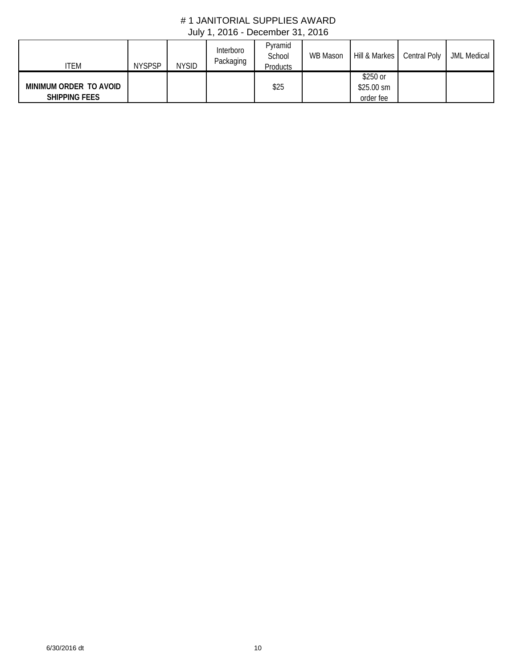| ITEM                                           | <b>NYSPSP</b> | <b>NYSID</b> | Interboro<br>Packaging | Pyramid<br>School<br>Products | WB Mason |                                      | Hill & Markes Central Poly | <b>JML Medical</b> |
|------------------------------------------------|---------------|--------------|------------------------|-------------------------------|----------|--------------------------------------|----------------------------|--------------------|
| MINIMUM ORDER TO AVOID<br><b>SHIPPING FEES</b> |               |              |                        | \$25                          |          | \$250 or<br>$$25.00$ sm<br>order fee |                            |                    |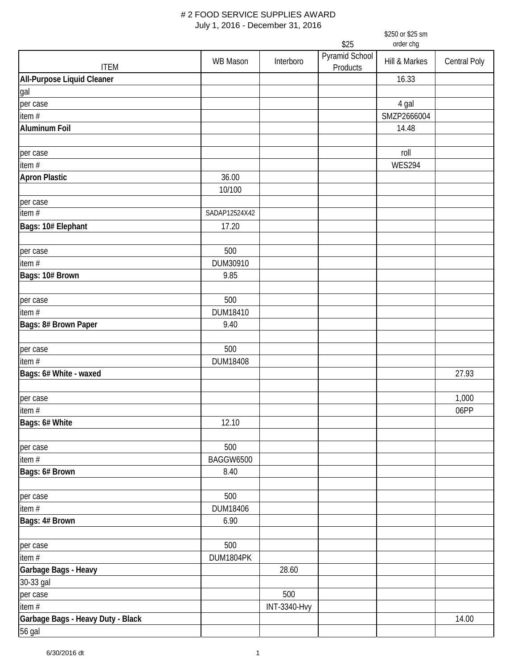|                                             |                  |                     |                            | \$250 or \$25 sm |              |
|---------------------------------------------|------------------|---------------------|----------------------------|------------------|--------------|
|                                             |                  |                     | \$25                       | order chg        |              |
| <b>ITEM</b>                                 | <b>WB Mason</b>  | Interboro           | Pyramid School<br>Products | Hill & Markes    | Central Poly |
| All-Purpose Liquid Cleaner                  |                  |                     |                            | 16.33            |              |
| gal                                         |                  |                     |                            |                  |              |
| per case                                    |                  |                     |                            | 4 gal            |              |
| item $#$                                    |                  |                     |                            | SMZP2666004      |              |
| <b>Aluminum Foil</b>                        |                  |                     |                            | 14.48            |              |
|                                             |                  |                     |                            |                  |              |
| per case                                    |                  |                     |                            | roll             |              |
| item #                                      |                  |                     |                            | <b>WES294</b>    |              |
| <b>Apron Plastic</b>                        | 36.00            |                     |                            |                  |              |
|                                             | 10/100           |                     |                            |                  |              |
| per case                                    |                  |                     |                            |                  |              |
| item $#$                                    | SADAP12524X42    |                     |                            |                  |              |
| Bags: 10# Elephant                          | 17.20            |                     |                            |                  |              |
|                                             |                  |                     |                            |                  |              |
| per case                                    | 500              |                     |                            |                  |              |
| item #                                      | DUM30910         |                     |                            |                  |              |
| Bags: 10# Brown                             | 9.85             |                     |                            |                  |              |
|                                             |                  |                     |                            |                  |              |
| per case                                    | 500              |                     |                            |                  |              |
| item #                                      | DUM18410         |                     |                            |                  |              |
| Bags: 8# Brown Paper                        | 9.40             |                     |                            |                  |              |
| per case                                    | 500              |                     |                            |                  |              |
| item#                                       | DUM18408         |                     |                            |                  |              |
| Bags: 6# White - waxed                      |                  |                     |                            |                  | 27.93        |
| per case                                    |                  |                     |                            |                  | 1,000        |
| item #                                      |                  |                     |                            |                  | 06PP         |
| Bags: 6# White                              | 12.10            |                     |                            |                  |              |
| per case                                    | 500              |                     |                            |                  |              |
| item $#$                                    | <b>BAGGW6500</b> |                     |                            |                  |              |
| Bags: 6# Brown                              | 8.40             |                     |                            |                  |              |
|                                             |                  |                     |                            |                  |              |
| per case                                    | 500              |                     |                            |                  |              |
| item $#$                                    | DUM18406         |                     |                            |                  |              |
| Bags: 4# Brown                              | 6.90             |                     |                            |                  |              |
|                                             |                  |                     |                            |                  |              |
| per case                                    | 500              |                     |                            |                  |              |
| item #                                      | DUM1804PK        |                     |                            |                  |              |
| Garbage Bags - Heavy                        |                  | 28.60               |                            |                  |              |
| 30-33 gal                                   |                  |                     |                            |                  |              |
| per case<br>item $#$                        |                  | 500                 |                            |                  |              |
|                                             |                  | <b>INT-3340-Hvy</b> |                            |                  | 14.00        |
| Garbage Bags - Heavy Duty - Black<br>56 gal |                  |                     |                            |                  |              |
|                                             |                  |                     |                            |                  |              |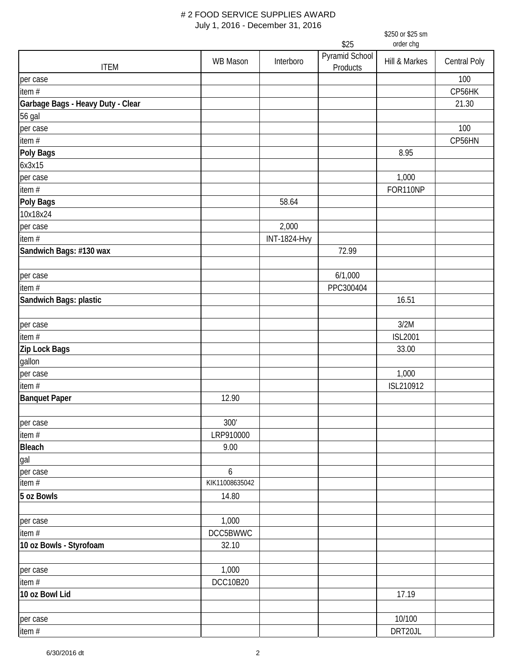|                                   |                |                     |                        | \$250 or \$25 sm<br>order chg |              |
|-----------------------------------|----------------|---------------------|------------------------|-------------------------------|--------------|
|                                   |                |                     | \$25<br>Pyramid School |                               |              |
| <b>ITEM</b>                       | WB Mason       | Interboro           | Products               | Hill & Markes                 | Central Poly |
| per case                          |                |                     |                        |                               | 100          |
| item $#$                          |                |                     |                        |                               | CP56HK       |
| Garbage Bags - Heavy Duty - Clear |                |                     |                        |                               | 21.30        |
| 56 gal                            |                |                     |                        |                               |              |
| per case                          |                |                     |                        |                               | 100          |
| item $#$                          |                |                     |                        |                               | CP56HN       |
| Poly Bags                         |                |                     |                        | 8.95                          |              |
| 6x3x15                            |                |                     |                        |                               |              |
| per case                          |                |                     |                        | 1,000                         |              |
| item #                            |                |                     |                        | FOR110NP                      |              |
| Poly Bags                         |                | 58.64               |                        |                               |              |
| 10x18x24                          |                |                     |                        |                               |              |
| per case                          |                | 2,000               |                        |                               |              |
| item $#$                          |                | <b>INT-1824-Hvy</b> |                        |                               |              |
| Sandwich Bags: #130 wax           |                |                     | 72.99                  |                               |              |
|                                   |                |                     |                        |                               |              |
| per case                          |                |                     | 6/1,000                |                               |              |
| item $#$                          |                |                     | PPC300404              |                               |              |
| Sandwich Bags: plastic            |                |                     |                        | 16.51                         |              |
|                                   |                |                     |                        |                               |              |
| per case                          |                |                     |                        | 3/2M                          |              |
| item #                            |                |                     |                        | <b>ISL2001</b>                |              |
| Zip Lock Bags                     |                |                     |                        | 33.00                         |              |
| gallon                            |                |                     |                        |                               |              |
| per case                          |                |                     |                        | 1,000                         |              |
| item $#$                          |                |                     |                        | ISL210912                     |              |
| <b>Banquet Paper</b>              | 12.90          |                     |                        |                               |              |
| per case                          | 300'           |                     |                        |                               |              |
| item#                             | LRP910000      |                     |                        |                               |              |
| <b>Bleach</b>                     | 9.00           |                     |                        |                               |              |
| gal                               |                |                     |                        |                               |              |
| per case                          | 6              |                     |                        |                               |              |
| item#                             | KIK11008635042 |                     |                        |                               |              |
| 5 oz Bowls                        | 14.80          |                     |                        |                               |              |
|                                   |                |                     |                        |                               |              |
| per case                          | 1,000          |                     |                        |                               |              |
| item #                            | DCC5BWWC       |                     |                        |                               |              |
| 10 oz Bowls - Styrofoam           | 32.10          |                     |                        |                               |              |
|                                   |                |                     |                        |                               |              |
| per case                          | 1,000          |                     |                        |                               |              |
| item#                             | DCC10B20       |                     |                        |                               |              |
| 10 oz Bowl Lid                    |                |                     |                        | 17.19                         |              |
| per case                          |                |                     |                        | 10/100                        |              |
| item#                             |                |                     |                        | DRT20JL                       |              |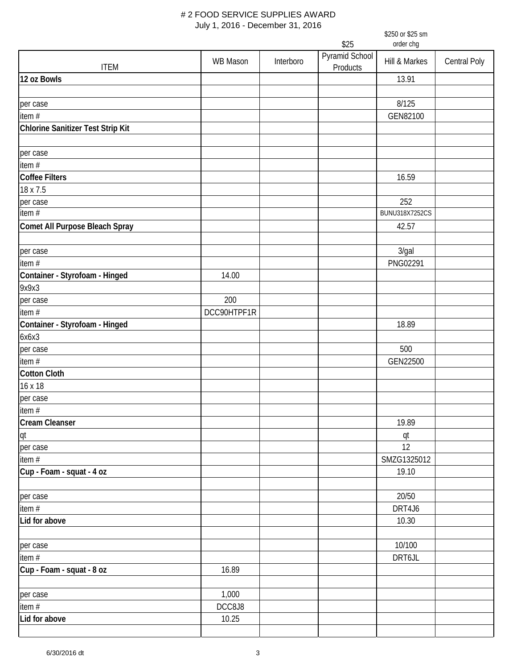|                                   | \$250 or \$25 sm  |           |                            |                              |                     |  |
|-----------------------------------|-------------------|-----------|----------------------------|------------------------------|---------------------|--|
|                                   | \$25<br>order chg |           |                            |                              |                     |  |
| <b>ITEM</b>                       | <b>WB Mason</b>   | Interboro | Pyramid School<br>Products | Hill & Markes                | <b>Central Poly</b> |  |
| 12 oz Bowls                       |                   |           |                            | 13.91                        |                     |  |
|                                   |                   |           |                            |                              |                     |  |
| per case                          |                   |           |                            | 8/125                        |                     |  |
| item #                            |                   |           |                            | GEN82100                     |                     |  |
| Chlorine Sanitizer Test Strip Kit |                   |           |                            |                              |                     |  |
|                                   |                   |           |                            |                              |                     |  |
| per case                          |                   |           |                            |                              |                     |  |
| item #                            |                   |           |                            |                              |                     |  |
| <b>Coffee Filters</b>             |                   |           |                            | 16.59                        |                     |  |
| 18 x 7.5                          |                   |           |                            |                              |                     |  |
| per case<br>item $#$              |                   |           |                            | 252<br><b>BUNU318X7252CS</b> |                     |  |
|                                   |                   |           |                            |                              |                     |  |
| Comet All Purpose Bleach Spray    |                   |           |                            | 42.57                        |                     |  |
| per case                          |                   |           |                            | 3/gal                        |                     |  |
| item $#$                          |                   |           |                            | PNG02291                     |                     |  |
| Container - Styrofoam - Hinged    | 14.00             |           |                            |                              |                     |  |
| 9x9x3                             |                   |           |                            |                              |                     |  |
| per case                          | 200               |           |                            |                              |                     |  |
| item #                            | DCC90HTPF1R       |           |                            |                              |                     |  |
| Container - Styrofoam - Hinged    |                   |           |                            | 18.89                        |                     |  |
| 6x6x3                             |                   |           |                            |                              |                     |  |
| per case                          |                   |           |                            | 500                          |                     |  |
| item #                            |                   |           |                            | GEN22500                     |                     |  |
| <b>Cotton Cloth</b>               |                   |           |                            |                              |                     |  |
| 16 x 18                           |                   |           |                            |                              |                     |  |
| per case                          |                   |           |                            |                              |                     |  |
| item $#$                          |                   |           |                            |                              |                     |  |
| <b>Cream Cleanser</b>             |                   |           |                            | 19.89                        |                     |  |
| qt                                |                   |           |                            | qt                           |                     |  |
| per case                          |                   |           |                            | 12                           |                     |  |
| item $#$                          |                   |           |                            | SMZG1325012                  |                     |  |
| Cup - Foam - squat - 4 oz         |                   |           |                            | 19.10                        |                     |  |
|                                   |                   |           |                            |                              |                     |  |
| per case                          |                   |           |                            | 20/50                        |                     |  |
| item $#$                          |                   |           |                            | DRT4J6                       |                     |  |
| Lid for above                     |                   |           |                            | 10.30                        |                     |  |
|                                   |                   |           |                            |                              |                     |  |
| per case                          |                   |           |                            | 10/100                       |                     |  |
| item $#$                          |                   |           |                            | DRT6JL                       |                     |  |
| Cup - Foam - squat - 8 oz         | 16.89             |           |                            |                              |                     |  |
| per case                          | 1,000             |           |                            |                              |                     |  |
| item $#$                          | DCC8J8            |           |                            |                              |                     |  |
| Lid for above                     | 10.25             |           |                            |                              |                     |  |
|                                   |                   |           |                            |                              |                     |  |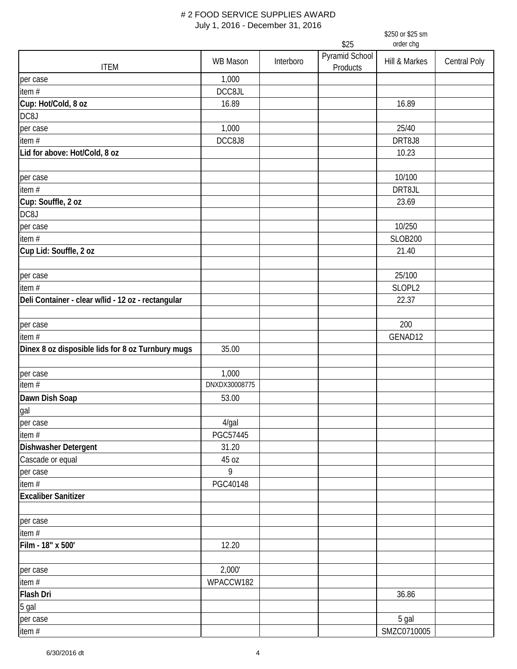|                                                    | JULY 1, ZUTO - DECENIDEL JT, ZUTO |           |                            | \$250 or \$25 sm     |              |
|----------------------------------------------------|-----------------------------------|-----------|----------------------------|----------------------|--------------|
|                                                    |                                   |           | \$25                       | order chg            |              |
| <b>ITEM</b>                                        | <b>WB Mason</b>                   | Interboro | Pyramid School<br>Products | Hill & Markes        | Central Poly |
| per case                                           | 1,000                             |           |                            |                      |              |
| item $#$                                           | DCC8JL                            |           |                            |                      |              |
| Cup: Hot/Cold, 8 oz                                | 16.89                             |           |                            | 16.89                |              |
| DC8J                                               |                                   |           |                            |                      |              |
| per case                                           | 1,000                             |           |                            | 25/40                |              |
| item $#$                                           | DCC8J8                            |           |                            | DRT8J8               |              |
| Lid for above: Hot/Cold, 8 oz                      |                                   |           |                            | 10.23                |              |
| per case                                           |                                   |           |                            | 10/100               |              |
| item #                                             |                                   |           |                            | DRT8JL               |              |
| Cup: Souffle, 2 oz                                 |                                   |           |                            | 23.69                |              |
| DC8J                                               |                                   |           |                            |                      |              |
| per case                                           |                                   |           |                            | 10/250               |              |
| item #                                             |                                   |           |                            | <b>SLOB200</b>       |              |
| Cup Lid: Souffle, 2 oz                             |                                   |           |                            | 21.40                |              |
|                                                    |                                   |           |                            | 25/100               |              |
| per case<br>item #                                 |                                   |           |                            | SLOPL2               |              |
| Deli Container - clear w/lid - 12 oz - rectangular |                                   |           |                            | 22.37                |              |
| per case                                           |                                   |           |                            | 200                  |              |
| item $#$                                           |                                   |           |                            | GENAD12              |              |
| Dinex 8 oz disposible lids for 8 oz Turnbury mugs  | 35.00                             |           |                            |                      |              |
| per case                                           | 1,000                             |           |                            |                      |              |
| item #                                             | DNXDX30008775                     |           |                            |                      |              |
| Dawn Dish Soap                                     | 53.00                             |           |                            |                      |              |
| gal                                                |                                   |           |                            |                      |              |
| per case                                           | $4$ /gal                          |           |                            |                      |              |
| item #                                             | PGC57445                          |           |                            |                      |              |
| Dishwasher Detergent<br>Cascade or equal           | 31.20<br>45 oz                    |           |                            |                      |              |
| per case                                           | 9                                 |           |                            |                      |              |
| item $#$                                           | PGC40148                          |           |                            |                      |              |
| <b>Excaliber Sanitizer</b>                         |                                   |           |                            |                      |              |
| per case                                           |                                   |           |                            |                      |              |
| item #                                             |                                   |           |                            |                      |              |
| Film - 18" x 500'                                  | 12.20                             |           |                            |                      |              |
| per case                                           | 2,000'                            |           |                            |                      |              |
| item $#$                                           | WPACCW182                         |           |                            |                      |              |
| Flash Dri                                          |                                   |           |                            | 36.86                |              |
| 5 gal                                              |                                   |           |                            |                      |              |
| per case<br>item #                                 |                                   |           |                            | 5 gal<br>SMZC0710005 |              |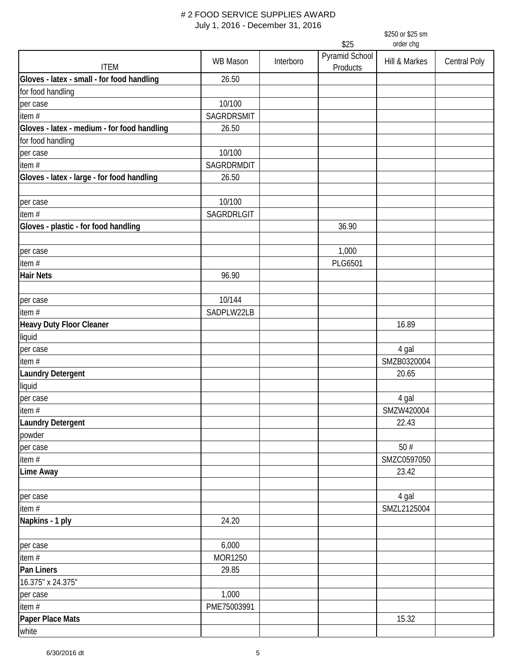|                                             | $0.01$ , $1, 2010$ Decounted 01, 2010<br>\$250 or \$25 sm<br>order chg<br>\$25 |           |                            |                 |                     |  |
|---------------------------------------------|--------------------------------------------------------------------------------|-----------|----------------------------|-----------------|---------------------|--|
| <b>ITEM</b>                                 | <b>WB Mason</b>                                                                | Interboro | Pyramid School<br>Products | Hill & Markes   | <b>Central Poly</b> |  |
| Gloves - latex - small - for food handling  | 26.50                                                                          |           |                            |                 |                     |  |
| for food handling                           |                                                                                |           |                            |                 |                     |  |
| per case                                    | 10/100                                                                         |           |                            |                 |                     |  |
| item $#$                                    | SAGRDRSMIT                                                                     |           |                            |                 |                     |  |
| Gloves - latex - medium - for food handling | 26.50                                                                          |           |                            |                 |                     |  |
| for food handling                           |                                                                                |           |                            |                 |                     |  |
| per case                                    | 10/100                                                                         |           |                            |                 |                     |  |
| item#                                       | SAGRDRMDIT                                                                     |           |                            |                 |                     |  |
| Gloves - latex - large - for food handling  | 26.50                                                                          |           |                            |                 |                     |  |
| per case                                    | 10/100                                                                         |           |                            |                 |                     |  |
| item#                                       | SAGRDRLGIT                                                                     |           |                            |                 |                     |  |
| Gloves - plastic - for food handling        |                                                                                |           | 36.90                      |                 |                     |  |
| per case                                    |                                                                                |           | 1,000                      |                 |                     |  |
| item $#$                                    |                                                                                |           | <b>PLG6501</b>             |                 |                     |  |
| <b>Hair Nets</b>                            | 96.90                                                                          |           |                            |                 |                     |  |
| per case                                    | 10/144                                                                         |           |                            |                 |                     |  |
| item #                                      | SADPLW22LB                                                                     |           |                            |                 |                     |  |
| Heavy Duty Floor Cleaner                    |                                                                                |           |                            | 16.89           |                     |  |
| liquid                                      |                                                                                |           |                            |                 |                     |  |
| per case                                    |                                                                                |           |                            | 4 gal           |                     |  |
| item #                                      |                                                                                |           |                            | SMZB0320004     |                     |  |
| <b>Laundry Detergent</b>                    |                                                                                |           |                            | 20.65           |                     |  |
| liquid                                      |                                                                                |           |                            |                 |                     |  |
| per case                                    |                                                                                |           |                            | 4 gal           |                     |  |
| item #                                      |                                                                                |           |                            | SMZW420004      |                     |  |
| <b>Laundry Detergent</b>                    |                                                                                |           |                            | 22.43           |                     |  |
| powder                                      |                                                                                |           |                            |                 |                     |  |
| per case                                    |                                                                                |           |                            | $50\;\text{\#}$ |                     |  |
| item #                                      |                                                                                |           |                            | SMZC0597050     |                     |  |
| Lime Away                                   |                                                                                |           |                            | 23.42           |                     |  |
| per case                                    |                                                                                |           |                            | 4 gal           |                     |  |
| item $#$                                    |                                                                                |           |                            | SMZL2125004     |                     |  |
| Napkins - 1 ply                             | 24.20                                                                          |           |                            |                 |                     |  |
| per case                                    | 6,000                                                                          |           |                            |                 |                     |  |
| item #                                      | MOR1250                                                                        |           |                            |                 |                     |  |
| Pan Liners                                  | 29.85                                                                          |           |                            |                 |                     |  |
| 16.375" x 24.375"                           |                                                                                |           |                            |                 |                     |  |
| per case                                    | 1,000                                                                          |           |                            |                 |                     |  |
| item $#$                                    | PME75003991                                                                    |           |                            |                 |                     |  |
| Paper Place Mats                            |                                                                                |           |                            | 15.32           |                     |  |
| white                                       |                                                                                |           |                            |                 |                     |  |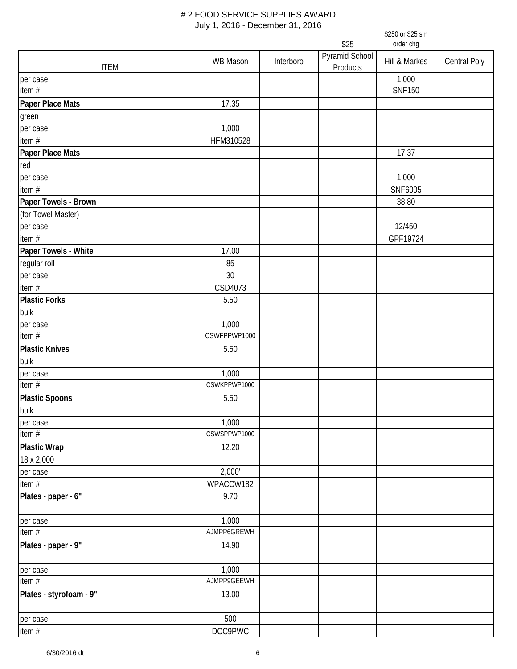|                         |                 | \$250 or \$25 sm<br>\$25<br>order chg |                            |               |              |  |
|-------------------------|-----------------|---------------------------------------|----------------------------|---------------|--------------|--|
|                         |                 |                                       |                            |               |              |  |
| <b>ITEM</b>             | <b>WB Mason</b> | Interboro                             | Pyramid School<br>Products | Hill & Markes | Central Poly |  |
| per case                |                 |                                       |                            | 1,000         |              |  |
| item#                   |                 |                                       |                            | <b>SNF150</b> |              |  |
| Paper Place Mats        | 17.35           |                                       |                            |               |              |  |
| green                   |                 |                                       |                            |               |              |  |
| per case                | 1,000           |                                       |                            |               |              |  |
| item $#$                | HFM310528       |                                       |                            |               |              |  |
| Paper Place Mats        |                 |                                       |                            | 17.37         |              |  |
| red                     |                 |                                       |                            |               |              |  |
| per case                |                 |                                       |                            | 1,000         |              |  |
| item#                   |                 |                                       |                            | SNF6005       |              |  |
| Paper Towels - Brown    |                 |                                       |                            | 38.80         |              |  |
| (for Towel Master)      |                 |                                       |                            |               |              |  |
| per case                |                 |                                       |                            | 12/450        |              |  |
| item#                   |                 |                                       |                            | GPF19724      |              |  |
| Paper Towels - White    | 17.00           |                                       |                            |               |              |  |
| regular roll            | 85              |                                       |                            |               |              |  |
| per case                | 30              |                                       |                            |               |              |  |
| item $#$                | CSD4073         |                                       |                            |               |              |  |
| <b>Plastic Forks</b>    | 5.50            |                                       |                            |               |              |  |
| bulk                    |                 |                                       |                            |               |              |  |
| per case                | 1,000           |                                       |                            |               |              |  |
| item#                   | CSWFPPWP1000    |                                       |                            |               |              |  |
| <b>Plastic Knives</b>   | 5.50            |                                       |                            |               |              |  |
| bulk                    |                 |                                       |                            |               |              |  |
| per case                | 1,000           |                                       |                            |               |              |  |
| item $#$                | CSWKPPWP1000    |                                       |                            |               |              |  |
| <b>Plastic Spoons</b>   | 5.50            |                                       |                            |               |              |  |
| bulk                    |                 |                                       |                            |               |              |  |
| per case                | 1,000           |                                       |                            |               |              |  |
| item $#$                | CSWSPPWP1000    |                                       |                            |               |              |  |
| <b>Plastic Wrap</b>     | 12.20           |                                       |                            |               |              |  |
| 18 x 2,000              |                 |                                       |                            |               |              |  |
| per case                | 2,000'          |                                       |                            |               |              |  |
| item #                  | WPACCW182       |                                       |                            |               |              |  |
| Plates - paper - 6"     | 9.70            |                                       |                            |               |              |  |
|                         |                 |                                       |                            |               |              |  |
| per case                | 1,000           |                                       |                            |               |              |  |
| item#                   | AJMPP6GREWH     |                                       |                            |               |              |  |
| Plates - paper - 9"     | 14.90           |                                       |                            |               |              |  |
|                         |                 |                                       |                            |               |              |  |
| per case                | 1,000           |                                       |                            |               |              |  |
| item $#$                | AJMPP9GEEWH     |                                       |                            |               |              |  |
| Plates - styrofoam - 9" | 13.00           |                                       |                            |               |              |  |
|                         |                 |                                       |                            |               |              |  |
| per case                | 500             |                                       |                            |               |              |  |
| item #                  | DCC9PWC         |                                       |                            |               |              |  |
|                         |                 |                                       |                            |               |              |  |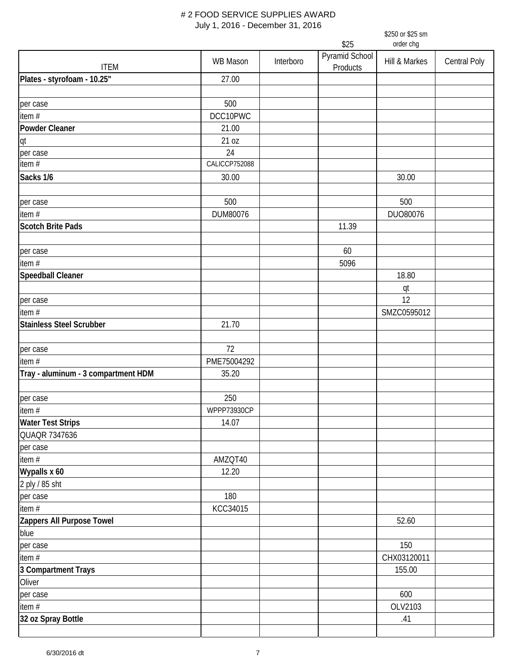|                                     | \$250 or \$25 sm |                   |                            |               |                     |  |  |
|-------------------------------------|------------------|-------------------|----------------------------|---------------|---------------------|--|--|
|                                     |                  | \$25<br>order chg |                            |               |                     |  |  |
| <b>ITEM</b>                         | <b>WB Mason</b>  | Interboro         | Pyramid School<br>Products | Hill & Markes | <b>Central Poly</b> |  |  |
| Plates - styrofoam - 10.25"         | 27.00            |                   |                            |               |                     |  |  |
|                                     |                  |                   |                            |               |                     |  |  |
| per case                            | 500              |                   |                            |               |                     |  |  |
| item #                              | DCC10PWC         |                   |                            |               |                     |  |  |
| <b>Powder Cleaner</b>               | 21.00            |                   |                            |               |                     |  |  |
| qt                                  | 21 oz            |                   |                            |               |                     |  |  |
| per case                            | 24               |                   |                            |               |                     |  |  |
| item $\bar{t}$                      | CALICCP752088    |                   |                            |               |                     |  |  |
| Sacks 1/6                           | 30.00            |                   |                            | 30.00         |                     |  |  |
|                                     |                  |                   |                            |               |                     |  |  |
| per case                            | 500              |                   |                            | 500           |                     |  |  |
| item #                              | DUM80076         |                   |                            | DUO80076      |                     |  |  |
| <b>Scotch Brite Pads</b>            |                  |                   | 11.39                      |               |                     |  |  |
|                                     |                  |                   |                            |               |                     |  |  |
| per case                            |                  |                   | 60                         |               |                     |  |  |
| item $#$                            |                  |                   | 5096                       |               |                     |  |  |
| <b>Speedball Cleaner</b>            |                  |                   |                            | 18.80         |                     |  |  |
|                                     |                  |                   |                            | qt            |                     |  |  |
| per case                            |                  |                   |                            | 12            |                     |  |  |
| item #                              |                  |                   |                            | SMZC0595012   |                     |  |  |
| <b>Stainless Steel Scrubber</b>     | 21.70            |                   |                            |               |                     |  |  |
|                                     |                  |                   |                            |               |                     |  |  |
| per case                            | 72               |                   |                            |               |                     |  |  |
| item #                              | PME75004292      |                   |                            |               |                     |  |  |
| Tray - aluminum - 3 compartment HDM | 35.20            |                   |                            |               |                     |  |  |
|                                     |                  |                   |                            |               |                     |  |  |
| per case                            | 250              |                   |                            |               |                     |  |  |
| item #                              | WPPP73930CP      |                   |                            |               |                     |  |  |
| <b>Water Test Strips</b>            | 14.07            |                   |                            |               |                     |  |  |
| QUAQR 7347636                       |                  |                   |                            |               |                     |  |  |
| per case                            |                  |                   |                            |               |                     |  |  |
| item $#$                            | AMZQT40          |                   |                            |               |                     |  |  |
| Wypalls x 60                        | 12.20            |                   |                            |               |                     |  |  |
| 2 ply / 85 sht                      |                  |                   |                            |               |                     |  |  |
| per case                            | 180              |                   |                            |               |                     |  |  |
| item #                              | KCC34015         |                   |                            |               |                     |  |  |
| Zappers All Purpose Towel           |                  |                   |                            | 52.60         |                     |  |  |
| blue                                |                  |                   |                            |               |                     |  |  |
| per case                            |                  |                   |                            | 150           |                     |  |  |
| item $#$                            |                  |                   |                            | CHX03120011   |                     |  |  |
| 3 Compartment Trays                 |                  |                   |                            | 155.00        |                     |  |  |
| Oliver                              |                  |                   |                            |               |                     |  |  |
| per case                            |                  |                   |                            | 600           |                     |  |  |
| item $#$                            |                  |                   |                            | OLV2103       |                     |  |  |
| 32 oz Spray Bottle                  |                  |                   |                            | .41           |                     |  |  |
|                                     |                  |                   |                            |               |                     |  |  |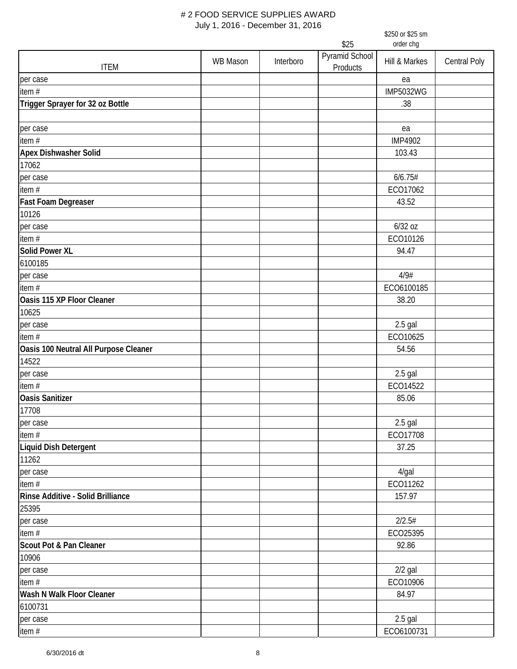|                                       | \$250 or \$25 sm |                                     |          |                      |              |  |
|---------------------------------------|------------------|-------------------------------------|----------|----------------------|--------------|--|
|                                       |                  | \$25<br>order chg<br>Pyramid School |          |                      |              |  |
| <b>ITEM</b>                           | <b>WB Mason</b>  | Interboro                           | Products | Hill & Markes        | Central Poly |  |
| per case                              |                  |                                     |          | ea                   |              |  |
| item #                                |                  |                                     |          | <b>IMP5032WG</b>     |              |  |
| Trigger Sprayer for 32 oz Bottle      |                  |                                     |          | .38                  |              |  |
|                                       |                  |                                     |          |                      |              |  |
| per case                              |                  |                                     |          | ea                   |              |  |
| item #                                |                  |                                     |          | <b>IMP4902</b>       |              |  |
| <b>Apex Dishwasher Solid</b>          |                  |                                     |          | 103.43               |              |  |
| 17062                                 |                  |                                     |          |                      |              |  |
| per case                              |                  |                                     |          | 6/6.75#              |              |  |
| item #                                |                  |                                     |          | ECO17062             |              |  |
| <b>Fast Foam Degreaser</b>            |                  |                                     |          | 43.52                |              |  |
| 10126                                 |                  |                                     |          |                      |              |  |
| per case                              |                  |                                     |          | 6/32 oz              |              |  |
| item #                                |                  |                                     |          | ECO10126             |              |  |
| <b>Solid Power XL</b>                 |                  |                                     |          | 94.47                |              |  |
| 6100185                               |                  |                                     |          |                      |              |  |
| per case                              |                  |                                     |          | 4/9#                 |              |  |
| item#                                 |                  |                                     |          | ECO6100185           |              |  |
| Oasis 115 XP Floor Cleaner            |                  |                                     |          | 38.20                |              |  |
| 10625                                 |                  |                                     |          |                      |              |  |
| per case                              |                  |                                     |          | $2.5$ gal            |              |  |
| item #                                |                  |                                     |          | ECO10625             |              |  |
| Oasis 100 Neutral All Purpose Cleaner |                  |                                     |          | 54.56                |              |  |
| 14522                                 |                  |                                     |          |                      |              |  |
| per case                              |                  |                                     |          | $2.5$ gal            |              |  |
| item #                                |                  |                                     |          | ECO14522             |              |  |
| <b>Oasis Sanitizer</b>                |                  |                                     |          | 85.06                |              |  |
| 17708                                 |                  |                                     |          |                      |              |  |
| per case                              |                  |                                     |          | $2.5$ gal            |              |  |
| item $#$                              |                  |                                     |          | ECO17708             |              |  |
| Liquid Dish Detergent<br>11262        |                  |                                     |          | 37.25                |              |  |
|                                       |                  |                                     |          |                      |              |  |
| per case<br>item #                    |                  |                                     |          | $4$ /gal<br>ECO11262 |              |  |
| Rinse Additive - Solid Brilliance     |                  |                                     |          | 157.97               |              |  |
| 25395                                 |                  |                                     |          |                      |              |  |
| per case                              |                  |                                     |          | 2/2.5#               |              |  |
| item #                                |                  |                                     |          | ECO25395             |              |  |
| Scout Pot & Pan Cleaner               |                  |                                     |          | 92.86                |              |  |
| 10906                                 |                  |                                     |          |                      |              |  |
| per case                              |                  |                                     |          | $2/2$ gal            |              |  |
| item #                                |                  |                                     |          | ECO10906             |              |  |
| Wash N Walk Floor Cleaner             |                  |                                     |          | 84.97                |              |  |
| 6100731                               |                  |                                     |          |                      |              |  |
| per case                              |                  |                                     |          | $2.5$ gal            |              |  |
| item #                                |                  |                                     |          | ECO6100731           |              |  |